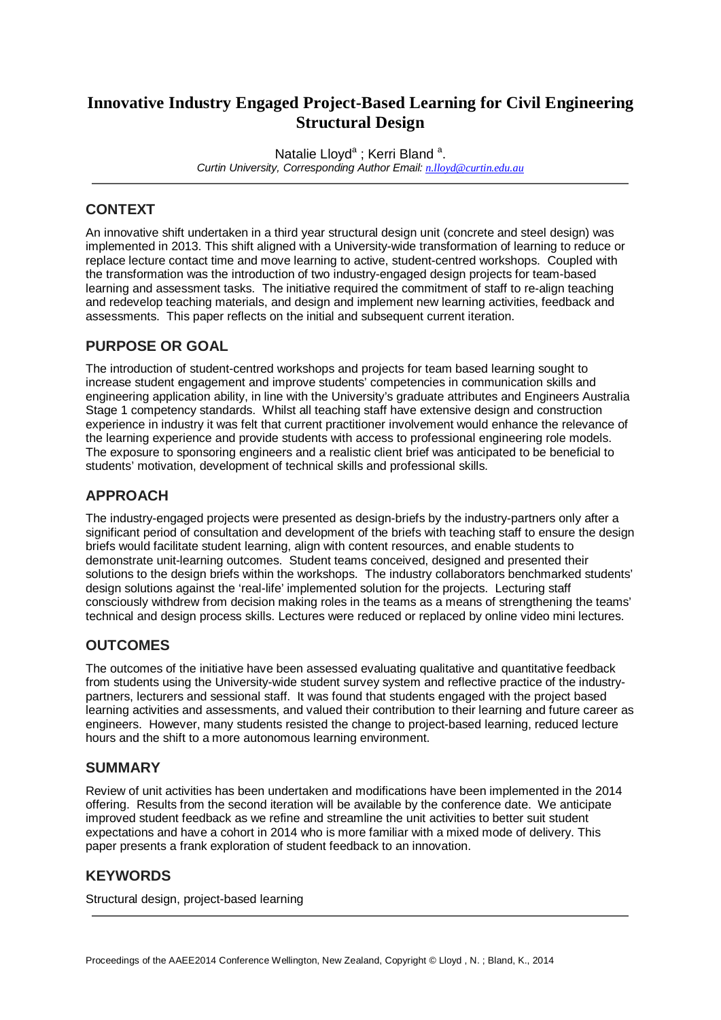# **Innovative Industry Engaged Project-Based Learning for Civil Engineering Structural Design**

Natalie Lloyd<sup>a</sup>; Kerri Bland<sup>a</sup>. *Curtin University, Corresponding Author Email: [n.lloyd@curtin.edu.au](mailto:n.lloyd@curtin.edu.au)*

## **CONTEXT**

An innovative shift undertaken in a third year structural design unit (concrete and steel design) was implemented in 2013. This shift aligned with a University-wide transformation of learning to reduce or replace lecture contact time and move learning to active, student-centred workshops. Coupled with the transformation was the introduction of two industry-engaged design projects for team-based learning and assessment tasks. The initiative required the commitment of staff to re-align teaching and redevelop teaching materials, and design and implement new learning activities, feedback and assessments. This paper reflects on the initial and subsequent current iteration.

## **PURPOSE OR GOAL**

The introduction of student-centred workshops and projects for team based learning sought to increase student engagement and improve students' competencies in communication skills and engineering application ability, in line with the University's graduate attributes and Engineers Australia Stage 1 competency standards. Whilst all teaching staff have extensive design and construction experience in industry it was felt that current practitioner involvement would enhance the relevance of the learning experience and provide students with access to professional engineering role models. The exposure to sponsoring engineers and a realistic client brief was anticipated to be beneficial to students' motivation, development of technical skills and professional skills.

## **APPROACH**

The industry-engaged projects were presented as design-briefs by the industry-partners only after a significant period of consultation and development of the briefs with teaching staff to ensure the design briefs would facilitate student learning, align with content resources, and enable students to demonstrate unit-learning outcomes. Student teams conceived, designed and presented their solutions to the design briefs within the workshops. The industry collaborators benchmarked students' design solutions against the 'real-life' implemented solution for the projects. Lecturing staff consciously withdrew from decision making roles in the teams as a means of strengthening the teams' technical and design process skills. Lectures were reduced or replaced by online video mini lectures.

## **OUTCOMES**

The outcomes of the initiative have been assessed evaluating qualitative and quantitative feedback from students using the University-wide student survey system and reflective practice of the industrypartners, lecturers and sessional staff. It was found that students engaged with the project based learning activities and assessments, and valued their contribution to their learning and future career as engineers. However, many students resisted the change to project-based learning, reduced lecture hours and the shift to a more autonomous learning environment.

#### **SUMMARY**

Review of unit activities has been undertaken and modifications have been implemented in the 2014 offering. Results from the second iteration will be available by the conference date. We anticipate improved student feedback as we refine and streamline the unit activities to better suit student expectations and have a cohort in 2014 who is more familiar with a mixed mode of delivery. This paper presents a frank exploration of student feedback to an innovation.

## **KEYWORDS**

Structural design, project-based learning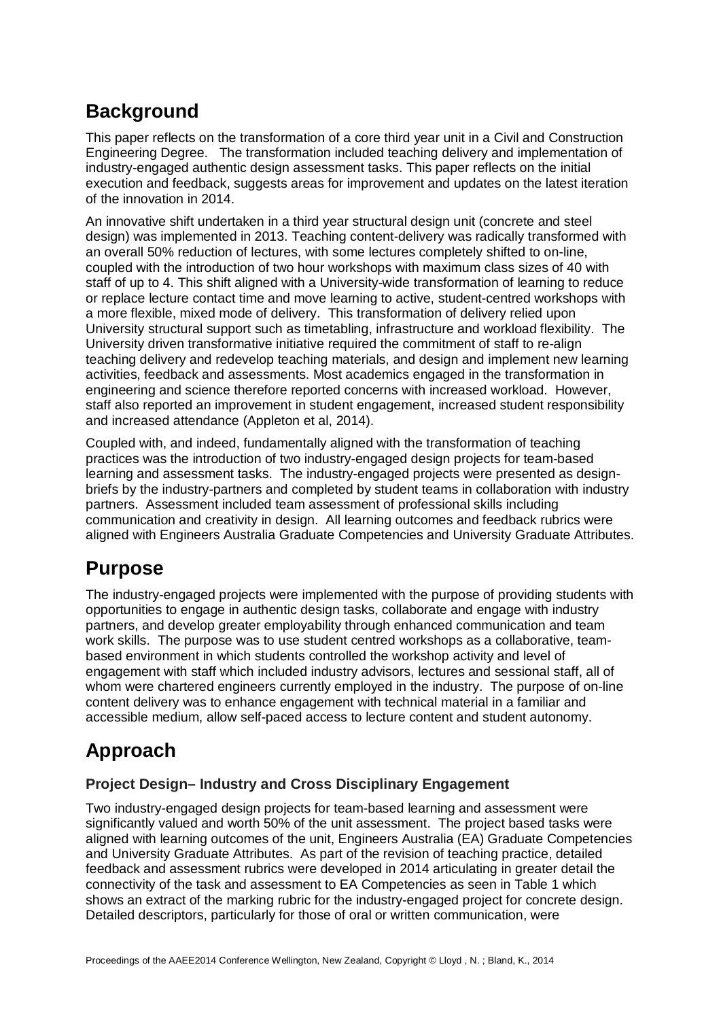# **Background**

This paper reflects on the transformation of a core third year unit in a Civil and Construction Engineering Degree. The transformation included teaching delivery and implementation of industry-engaged authentic design assessment tasks. This paper reflects on the initial execution and feedback, suggests areas for improvement and updates on the latest iteration of the innovation in 2014.

An innovative shift undertaken in a third year structural design unit (concrete and steel design) was implemented in 2013. Teaching content-delivery was radically transformed with an overall 50% reduction of lectures, with some lectures completely shifted to on-line, coupled with the introduction of two hour workshops with maximum class sizes of 40 with staff of up to 4. This shift aligned with a University-wide transformation of learning to reduce or replace lecture contact time and move learning to active, student-centred workshops with a more flexible, mixed mode of delivery. This transformation of delivery relied upon University structural support such as timetabling, infrastructure and workload flexibility. The University driven transformative initiative required the commitment of staff to re-align teaching delivery and redevelop teaching materials, and design and implement new learning activities, feedback and assessments. Most academics engaged in the transformation in engineering and science therefore reported concerns with increased workload. However, staff also reported an improvement in student engagement, increased student responsibility and increased attendance (Appleton et al, 2014).

Coupled with, and indeed, fundamentally aligned with the transformation of teaching practices was the introduction of two industry-engaged design projects for team-based learning and assessment tasks. The industry-engaged projects were presented as designbriefs by the industry-partners and completed by student teams in collaboration with industry partners. Assessment included team assessment of professional skills including communication and creativity in design. All learning outcomes and feedback rubrics were aligned with Engineers Australia Graduate Competencies and University Graduate Attributes.

# **Purpose**

The industry-engaged projects were implemented with the purpose of providing students with opportunities to engage in authentic design tasks, collaborate and engage with industry partners, and develop greater employability through enhanced communication and team work skills. The purpose was to use student centred workshops as a collaborative, teambased environment in which students controlled the workshop activity and level of engagement with staff which included industry advisors, lectures and sessional staff, all of whom were chartered engineers currently employed in the industry. The purpose of on-line content delivery was to enhance engagement with technical material in a familiar and accessible medium, allow self-paced access to lecture content and student autonomy.

# **Approach**

## **Project Design– Industry and Cross Disciplinary Engagement**

Two industry-engaged design projects for team-based learning and assessment were significantly valued and worth 50% of the unit assessment. The project based tasks were aligned with learning outcomes of the unit, Engineers Australia (EA) Graduate Competencies and University Graduate Attributes. As part of the revision of teaching practice, detailed feedback and assessment rubrics were developed in 2014 articulating in greater detail the connectivity of the task and assessment to EA Competencies as seen in Table 1 which shows an extract of the marking rubric for the industry-engaged project for concrete design. Detailed descriptors, particularly for those of oral or written communication, were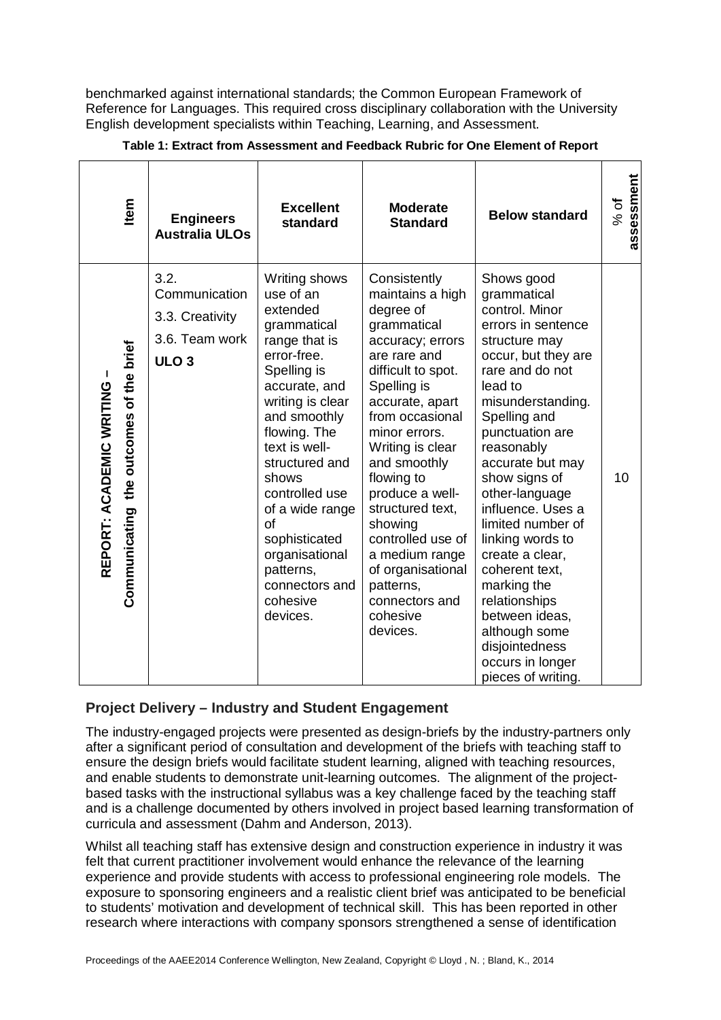benchmarked against international standards; the Common European Framework of Reference for Languages. This required cross disciplinary collaboration with the University English development specialists within Teaching, Learning, and Assessment.

| ltem                                                                | <b>Engineers</b><br><b>Australia ULOs</b>                                      | <b>Excellent</b><br>standard                                                                                                                                                                                                                                                                                                                               | <b>Moderate</b><br><b>Standard</b>                                                                                                                                                                                                                                                                                                                                                                                  | <b>Below standard</b>                                                                                                                                                                                                                                                                                                                                                                                                                                                                                  | assessment<br>$%$ of |
|---------------------------------------------------------------------|--------------------------------------------------------------------------------|------------------------------------------------------------------------------------------------------------------------------------------------------------------------------------------------------------------------------------------------------------------------------------------------------------------------------------------------------------|---------------------------------------------------------------------------------------------------------------------------------------------------------------------------------------------------------------------------------------------------------------------------------------------------------------------------------------------------------------------------------------------------------------------|--------------------------------------------------------------------------------------------------------------------------------------------------------------------------------------------------------------------------------------------------------------------------------------------------------------------------------------------------------------------------------------------------------------------------------------------------------------------------------------------------------|----------------------|
| Communicating the outcomes of the brief<br>REPORT: ACADEMIC WRITING | 3.2.<br>Communication<br>3.3. Creativity<br>3.6. Team work<br>ULO <sub>3</sub> | Writing shows<br>use of an<br>extended<br>grammatical<br>range that is<br>error-free.<br>Spelling is<br>accurate, and<br>writing is clear<br>and smoothly<br>flowing. The<br>text is well-<br>structured and<br>shows<br>controlled use<br>of a wide range<br>of<br>sophisticated<br>organisational<br>patterns,<br>connectors and<br>cohesive<br>devices. | Consistently<br>maintains a high<br>degree of<br>grammatical<br>accuracy; errors<br>are rare and<br>difficult to spot.<br>Spelling is<br>accurate, apart<br>from occasional<br>minor errors.<br>Writing is clear<br>and smoothly<br>flowing to<br>produce a well-<br>structured text,<br>showing<br>controlled use of<br>a medium range<br>of organisational<br>patterns,<br>connectors and<br>cohesive<br>devices. | Shows good<br>grammatical<br>control. Minor<br>errors in sentence<br>structure may<br>occur, but they are<br>rare and do not<br>lead to<br>misunderstanding.<br>Spelling and<br>punctuation are<br>reasonably<br>accurate but may<br>show signs of<br>other-language<br>influence. Uses a<br>limited number of<br>linking words to<br>create a clear,<br>coherent text,<br>marking the<br>relationships<br>between ideas,<br>although some<br>disjointedness<br>occurs in longer<br>pieces of writing. | 10                   |

#### **Table 1: Extract from Assessment and Feedback Rubric for One Element of Report**

## **Project Delivery – Industry and Student Engagement**

The industry-engaged projects were presented as design-briefs by the industry-partners only after a significant period of consultation and development of the briefs with teaching staff to ensure the design briefs would facilitate student learning, aligned with teaching resources, and enable students to demonstrate unit-learning outcomes. The alignment of the projectbased tasks with the instructional syllabus was a key challenge faced by the teaching staff and is a challenge documented by others involved in project based learning transformation of curricula and assessment (Dahm and Anderson, 2013).

Whilst all teaching staff has extensive design and construction experience in industry it was felt that current practitioner involvement would enhance the relevance of the learning experience and provide students with access to professional engineering role models. The exposure to sponsoring engineers and a realistic client brief was anticipated to be beneficial to students' motivation and development of technical skill. This has been reported in other research where interactions with company sponsors strengthened a sense of identification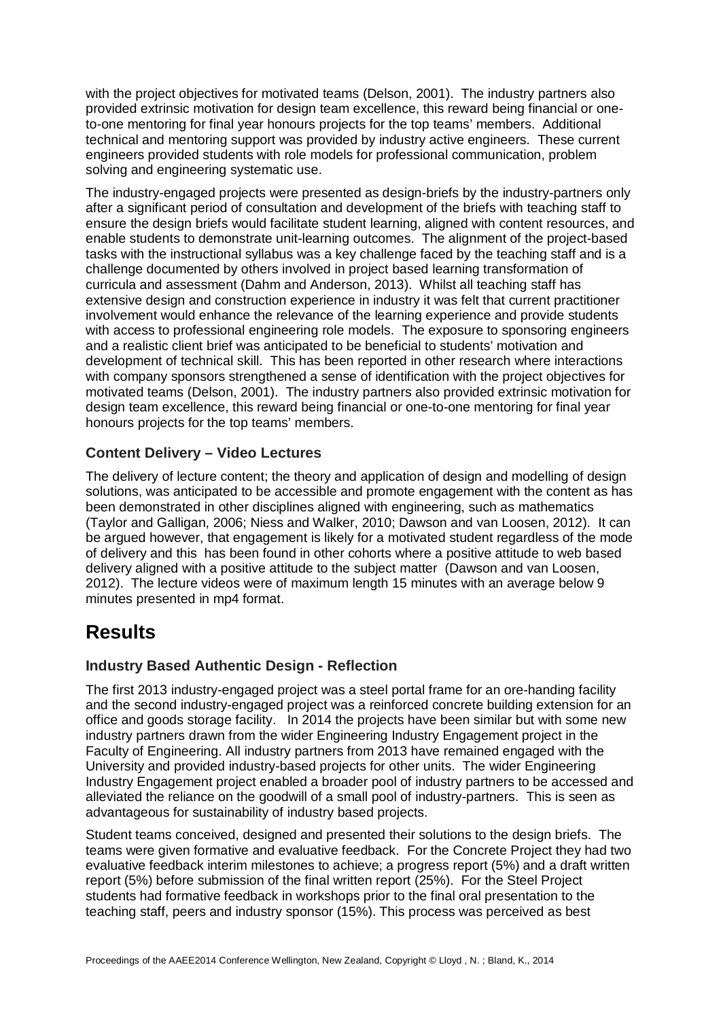with the project objectives for motivated teams (Delson, 2001). The industry partners also provided extrinsic motivation for design team excellence, this reward being financial or oneto-one mentoring for final year honours projects for the top teams' members. Additional technical and mentoring support was provided by industry active engineers. These current engineers provided students with role models for professional communication, problem solving and engineering systematic use.

The industry-engaged projects were presented as design-briefs by the industry-partners only after a significant period of consultation and development of the briefs with teaching staff to ensure the design briefs would facilitate student learning, aligned with content resources, and enable students to demonstrate unit-learning outcomes. The alignment of the project-based tasks with the instructional syllabus was a key challenge faced by the teaching staff and is a challenge documented by others involved in project based learning transformation of curricula and assessment (Dahm and Anderson, 2013). Whilst all teaching staff has extensive design and construction experience in industry it was felt that current practitioner involvement would enhance the relevance of the learning experience and provide students with access to professional engineering role models. The exposure to sponsoring engineers and a realistic client brief was anticipated to be beneficial to students' motivation and development of technical skill. This has been reported in other research where interactions with company sponsors strengthened a sense of identification with the project objectives for motivated teams (Delson, 2001). The industry partners also provided extrinsic motivation for design team excellence, this reward being financial or one-to-one mentoring for final year honours projects for the top teams' members.

## **Content Delivery – Video Lectures**

The delivery of lecture content; the theory and application of design and modelling of design solutions, was anticipated to be accessible and promote engagement with the content as has been demonstrated in other disciplines aligned with engineering, such as mathematics (Taylor and Galligan, 2006; Niess and Walker, 2010; Dawson and van Loosen, 2012). It can be argued however, that engagement is likely for a motivated student regardless of the mode of delivery and this has been found in other cohorts where a positive attitude to web based delivery aligned with a positive attitude to the subject matter (Dawson and van Loosen, 2012). The lecture videos were of maximum length 15 minutes with an average below 9 minutes presented in mp4 format.

# **Results**

## **Industry Based Authentic Design - Reflection**

The first 2013 industry-engaged project was a steel portal frame for an ore-handing facility and the second industry-engaged project was a reinforced concrete building extension for an office and goods storage facility. In 2014 the projects have been similar but with some new industry partners drawn from the wider Engineering Industry Engagement project in the Faculty of Engineering. All industry partners from 2013 have remained engaged with the University and provided industry-based projects for other units. The wider Engineering Industry Engagement project enabled a broader pool of industry partners to be accessed and alleviated the reliance on the goodwill of a small pool of industry-partners. This is seen as advantageous for sustainability of industry based projects.

Student teams conceived, designed and presented their solutions to the design briefs. The teams were given formative and evaluative feedback. For the Concrete Project they had two evaluative feedback interim milestones to achieve; a progress report (5%) and a draft written report (5%) before submission of the final written report (25%). For the Steel Project students had formative feedback in workshops prior to the final oral presentation to the teaching staff, peers and industry sponsor (15%). This process was perceived as best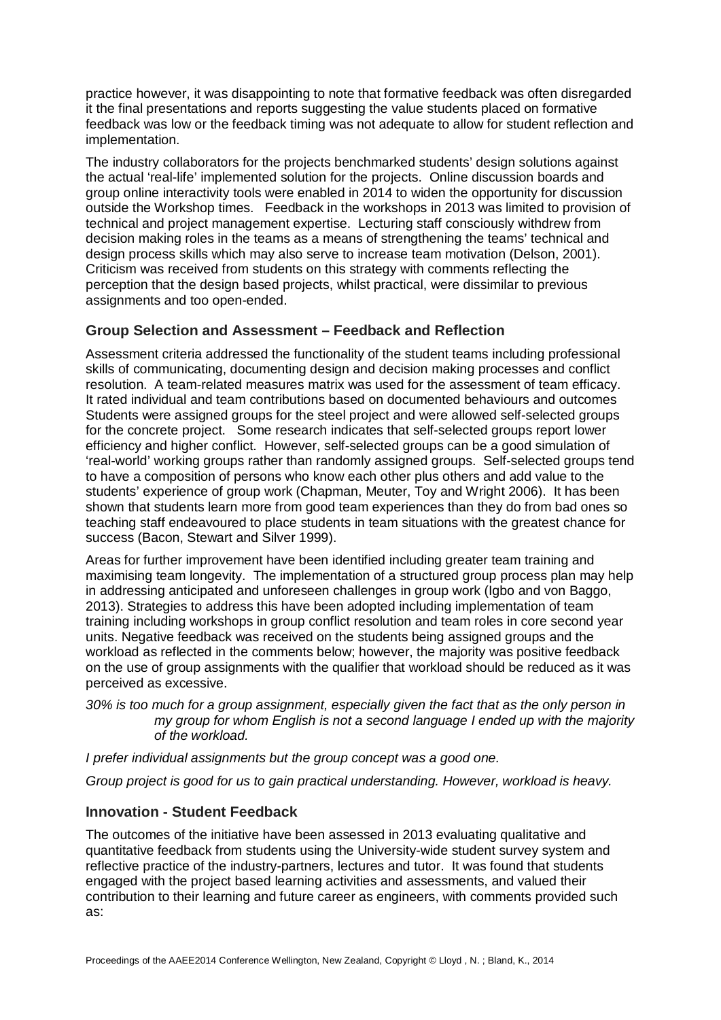practice however, it was disappointing to note that formative feedback was often disregarded it the final presentations and reports suggesting the value students placed on formative feedback was low or the feedback timing was not adequate to allow for student reflection and implementation.

The industry collaborators for the projects benchmarked students' design solutions against the actual 'real-life' implemented solution for the projects. Online discussion boards and group online interactivity tools were enabled in 2014 to widen the opportunity for discussion outside the Workshop times. Feedback in the workshops in 2013 was limited to provision of technical and project management expertise. Lecturing staff consciously withdrew from decision making roles in the teams as a means of strengthening the teams' technical and design process skills which may also serve to increase team motivation (Delson, 2001). Criticism was received from students on this strategy with comments reflecting the perception that the design based projects, whilst practical, were dissimilar to previous assignments and too open-ended.

## **Group Selection and Assessment – Feedback and Reflection**

Assessment criteria addressed the functionality of the student teams including professional skills of communicating, documenting design and decision making processes and conflict resolution. A team-related measures matrix was used for the assessment of team efficacy. It rated individual and team contributions based on documented behaviours and outcomes Students were assigned groups for the steel project and were allowed self-selected groups for the concrete project. Some research indicates that self-selected groups report lower efficiency and higher conflict. However, self-selected groups can be a good simulation of 'real-world' working groups rather than randomly assigned groups. Self-selected groups tend to have a composition of persons who know each other plus others and add value to the students' experience of group work (Chapman, Meuter, Toy and Wright 2006). It has been shown that students learn more from good team experiences than they do from bad ones so teaching staff endeavoured to place students in team situations with the greatest chance for success (Bacon, Stewart and Silver 1999).

Areas for further improvement have been identified including greater team training and maximising team longevity. The implementation of a structured group process plan may help in addressing anticipated and unforeseen challenges in group work (Igbo and von Baggo, 2013). Strategies to address this have been adopted including implementation of team training including workshops in group conflict resolution and team roles in core second year units. Negative feedback was received on the students being assigned groups and the workload as reflected in the comments below; however, the majority was positive feedback on the use of group assignments with the qualifier that workload should be reduced as it was perceived as excessive.

*30% is too much for a group assignment, especially given the fact that as the only person in my group for whom English is not a second language I ended up with the majority of the workload.*

*I prefer individual assignments but the group concept was a good one.*

*Group project is good for us to gain practical understanding. However, workload is heavy.* 

## **Innovation - Student Feedback**

The outcomes of the initiative have been assessed in 2013 evaluating qualitative and quantitative feedback from students using the University-wide student survey system and reflective practice of the industry-partners, lectures and tutor. It was found that students engaged with the project based learning activities and assessments, and valued their contribution to their learning and future career as engineers, with comments provided such as: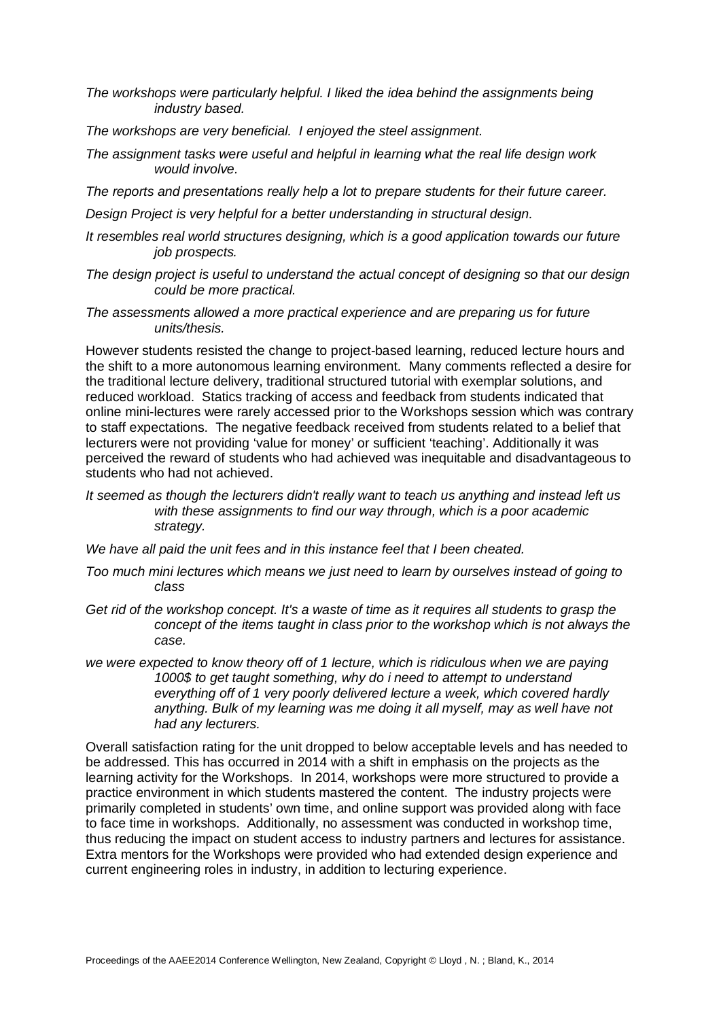*The workshops were particularly helpful. I liked the idea behind the assignments being industry based.* 

- *The workshops are very beneficial. I enjoyed the steel assignment.*
- *The assignment tasks were useful and helpful in learning what the real life design work would involve.*
- *The reports and presentations really help a lot to prepare students for their future career.*

*Design Project is very helpful for a better understanding in structural design.*

- *It resembles real world structures designing, which is a good application towards our future job prospects.*
- *The design project is useful to understand the actual concept of designing so that our design could be more practical.*
- *The assessments allowed a more practical experience and are preparing us for future units/thesis.*

However students resisted the change to project-based learning, reduced lecture hours and the shift to a more autonomous learning environment. Many comments reflected a desire for the traditional lecture delivery, traditional structured tutorial with exemplar solutions, and reduced workload. Statics tracking of access and feedback from students indicated that online mini-lectures were rarely accessed prior to the Workshops session which was contrary to staff expectations. The negative feedback received from students related to a belief that lecturers were not providing 'value for money' or sufficient 'teaching'. Additionally it was perceived the reward of students who had achieved was inequitable and disadvantageous to students who had not achieved.

- *It seemed as though the lecturers didn't really want to teach us anything and instead left us with these assignments to find our way through, which is a poor academic strategy.*
- *We have all paid the unit fees and in this instance feel that I been cheated.*
- *Too much mini lectures which means we just need to learn by ourselves instead of going to class*
- *Get rid of the workshop concept. It's a waste of time as it requires all students to grasp the concept of the items taught in class prior to the workshop which is not always the case.*
- *we were expected to know theory off of 1 lecture, which is ridiculous when we are paying 1000\$ to get taught something, why do i need to attempt to understand everything off of 1 very poorly delivered lecture a week, which covered hardly anything. Bulk of my learning was me doing it all myself, may as well have not had any lecturers.*

Overall satisfaction rating for the unit dropped to below acceptable levels and has needed to be addressed. This has occurred in 2014 with a shift in emphasis on the projects as the learning activity for the Workshops. In 2014, workshops were more structured to provide a practice environment in which students mastered the content. The industry projects were primarily completed in students' own time, and online support was provided along with face to face time in workshops. Additionally, no assessment was conducted in workshop time, thus reducing the impact on student access to industry partners and lectures for assistance. Extra mentors for the Workshops were provided who had extended design experience and current engineering roles in industry, in addition to lecturing experience.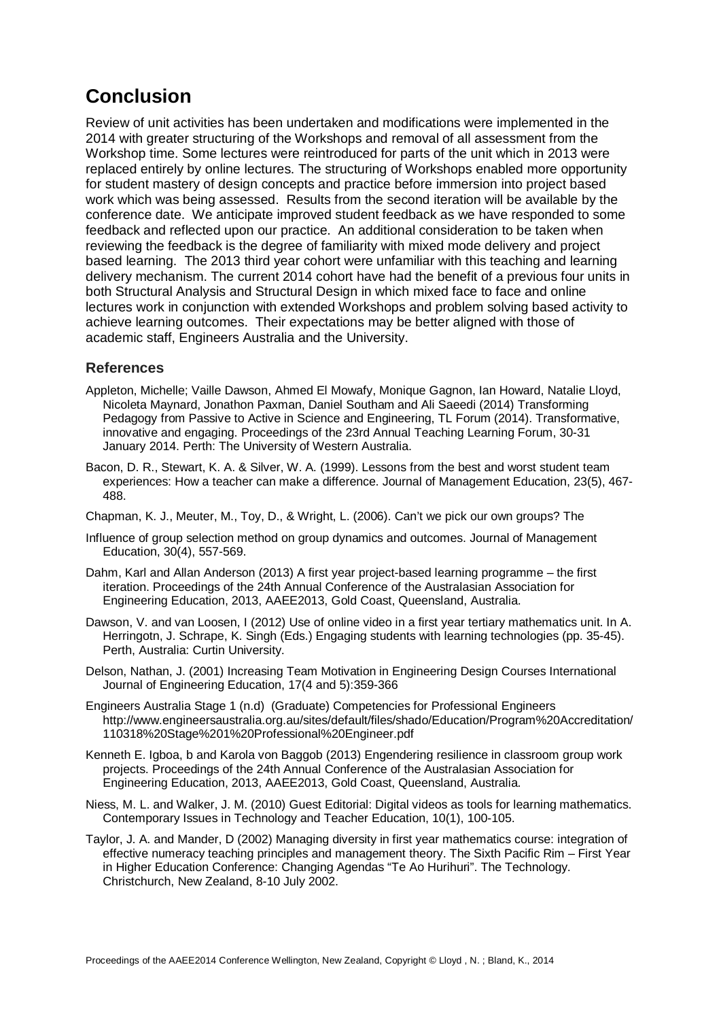# **Conclusion**

Review of unit activities has been undertaken and modifications were implemented in the 2014 with greater structuring of the Workshops and removal of all assessment from the Workshop time. Some lectures were reintroduced for parts of the unit which in 2013 were replaced entirely by online lectures. The structuring of Workshops enabled more opportunity for student mastery of design concepts and practice before immersion into project based work which was being assessed. Results from the second iteration will be available by the conference date. We anticipate improved student feedback as we have responded to some feedback and reflected upon our practice. An additional consideration to be taken when reviewing the feedback is the degree of familiarity with mixed mode delivery and project based learning. The 2013 third year cohort were unfamiliar with this teaching and learning delivery mechanism. The current 2014 cohort have had the benefit of a previous four units in both Structural Analysis and Structural Design in which mixed face to face and online lectures work in conjunction with extended Workshops and problem solving based activity to achieve learning outcomes. Their expectations may be better aligned with those of academic staff, Engineers Australia and the University.

### **References**

- Appleton, Michelle; Vaille Dawson, Ahmed El Mowafy, Monique Gagnon, Ian Howard, Natalie Lloyd, Nicoleta Maynard, Jonathon Paxman, Daniel Southam and Ali Saeedi (2014) Transforming Pedagogy from Passive to Active in Science and Engineering, TL Forum (2014). Transformative, innovative and engaging. Proceedings of the 23rd Annual Teaching Learning Forum, 30-31 January 2014. Perth: The University of Western Australia.
- Bacon, D. R., Stewart, K. A. & Silver, W. A. (1999). Lessons from the best and worst student team experiences: How a teacher can make a difference. Journal of Management Education, 23(5), 467- 488.
- Chapman, K. J., Meuter, M., Toy, D., & Wright, L. (2006). Can't we pick our own groups? The
- Influence of group selection method on group dynamics and outcomes. Journal of Management Education, 30(4), 557-569.
- Dahm, Karl and Allan Anderson (2013) A first year project-based learning programme the first iteration. Proceedings of the 24th Annual Conference of the Australasian Association for Engineering Education, 2013, AAEE2013, Gold Coast, Queensland, Australia.
- Dawson, V. and van Loosen, I (2012) Use of online video in a first year tertiary mathematics unit. In A. Herringotn, J. Schrape, K. Singh (Eds.) Engaging students with learning technologies (pp. 35-45). Perth, Australia: Curtin University.
- Delson, Nathan, J. (2001) Increasing Team Motivation in Engineering Design Courses International Journal of Engineering Education, 17(4 and 5):359-366
- Engineers Australia Stage 1 (n.d) (Graduate) Competencies for Professional Engineers [http://www.engineersaustralia.org.au/sites/default/files/shado/Education/Program%20Accreditation/](http://www.engineersaustralia.org.au/sites/default/files/shado/Education/Program%20Accreditation/110318%20Stage%201%20Professional%20Engineer.pdf) [110318%20Stage%201%20Professional%20Engineer.pdf](http://www.engineersaustralia.org.au/sites/default/files/shado/Education/Program%20Accreditation/110318%20Stage%201%20Professional%20Engineer.pdf)
- Kenneth E. Igboa, b and Karola von Baggob (2013) Engendering resilience in classroom group work projects. Proceedings of the 24th Annual Conference of the Australasian Association for Engineering Education, 2013, AAEE2013, Gold Coast, Queensland, Australia.
- Niess, M. L. and Walker, J. M. (2010) Guest Editorial: Digital videos as tools for learning mathematics. Contemporary Issues in Technology and Teacher Education, 10(1), 100-105.
- Taylor, J. A. and Mander, D (2002) Managing diversity in first year mathematics course: integration of effective numeracy teaching principles and management theory. The Sixth Pacific Rim – First Year in Higher Education Conference: Changing Agendas "Te Ao Hurihuri". The Technology. Christchurch, New Zealand, 8-10 July 2002.